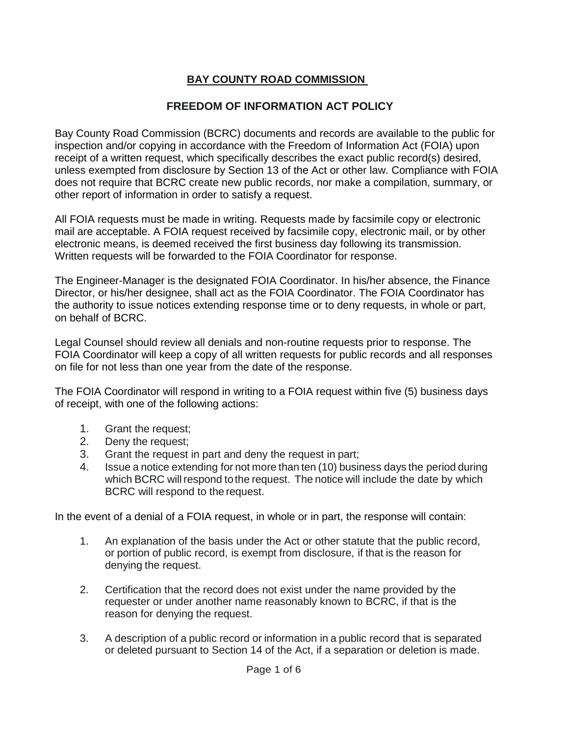## **BAY COUNTY ROAD COMMISSION**

## **FREEDOM OF INFORMATION ACT POLICY**

Bay County Road Commission (BCRC) documents and records are available to the public for inspection and/or copying in accordance with the Freedom of Information Act (FOIA) upon receipt of a written request, which specifically describes the exact public record(s) desired, unless exempted from disclosure by Section 13 of the Act or other law. Compliance with FOIA does not require that BCRC create new public records, nor make a compilation, summary, or other report of information in order to satisfy a request.

All FOIA requests must be made in writing. Requests made by facsimile copy or electronic mail are acceptable. A FOIA request received by facsimile copy, electronic mail, or by other electronic means, is deemed received the first business day following its transmission. Written requests will be forwarded to the FOIA Coordinator for response.

The Engineer-Manager is the designated FOIA Coordinator. In his/her absence, the Finance Director, or his/her designee, shall act as the FOIA Coordinator. The FOIA Coordinator has the authority to issue notices extending response time or to deny requests, in whole or part, on behalf of BCRC.

Legal Counsel should review all denials and non-routine requests prior to response. The FOIA Coordinator will keep a copy of all written requests for public records and all responses on file for not less than one year from the date of the response.

The FOIA Coordinator will respond in writing to a FOIA request within five (5) business days of receipt, with one of the following actions:

- 1. Grant the request;
- 2. Deny the request;
- 3. Grant the request in part and deny the request in part;
- 4. Issue a notice extending for not more than ten (10) business days the period during which BCRC will respond to the request. The notice will include the date by which BCRC will respond to the request.

In the event of a denial of a FOIA request, in whole or in part, the response will contain:

- 1. An explanation of the basis under the Act or other statute that the public record, or portion of public record, is exempt from disclosure, if that is the reason for denying the request.
- 2. Certification that the record does not exist under the name provided by the requester or under another name reasonably known to BCRC, if that is the reason for denying the request.
- 3. A description of a public record or information in a public record that is separated or deleted pursuant to Section 14 of the Act, if a separation or deletion is made.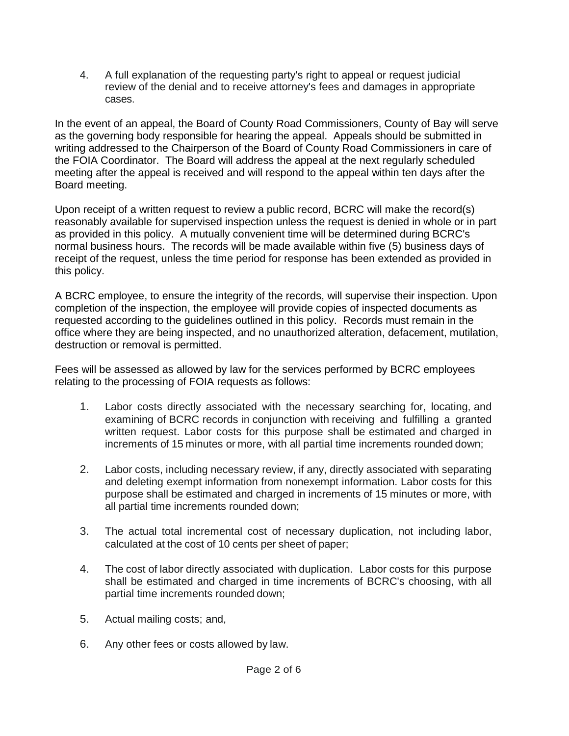4. A full explanation of the requesting party's right to appeal or request judicial review of the denial and to receive attorney's fees and damages in appropriate cases.

In the event of an appeal, the Board of County Road Commissioners, County of Bay will serve as the governing body responsible for hearing the appeal. Appeals should be submitted in writing addressed to the Chairperson of the Board of County Road Commissioners in care of the FOIA Coordinator. The Board will address the appeal at the next regularly scheduled meeting after the appeal is received and will respond to the appeal within ten days after the Board meeting.

Upon receipt of a written request to review a public record, BCRC will make the record(s) reasonably available for supervised inspection unless the request is denied in whole or in part as provided in this policy. A mutually convenient time will be determined during BCRC's normal business hours. The records will be made available within five (5) business days of receipt of the request, unless the time period for response has been extended as provided in this policy.

A BCRC employee, to ensure the integrity of the records, will supervise their inspection. Upon completion of the inspection, the employee will provide copies of inspected documents as requested according to the guidelines outlined in this policy. Records must remain in the office where they are being inspected, and no unauthorized alteration, defacement, mutilation, destruction or removal is permitted.

Fees will be assessed as allowed by law for the services performed by BCRC employees relating to the processing of FOIA requests as follows:

- 1. Labor costs directly associated with the necessary searching for, locating, and examining of BCRC records in conjunction with receiving and fulfilling a granted written request. Labor costs for this purpose shall be estimated and charged in increments of 15 minutes or more, with all partial time increments rounded down;
- 2. Labor costs, including necessary review, if any, directly associated with separating and deleting exempt information from nonexempt information. Labor costs for this purpose shall be estimated and charged in increments of 15 minutes or more, with all partial time increments rounded down;
- 3. The actual total incremental cost of necessary duplication, not including labor, calculated at the cost of 10 cents per sheet of paper;
- 4. The cost of labor directly associated with duplication. Labor costs for this purpose shall be estimated and charged in time increments of BCRC's choosing, with all partial time increments rounded down;
- 5. Actual mailing costs; and,
- 6. Any other fees or costs allowed by law.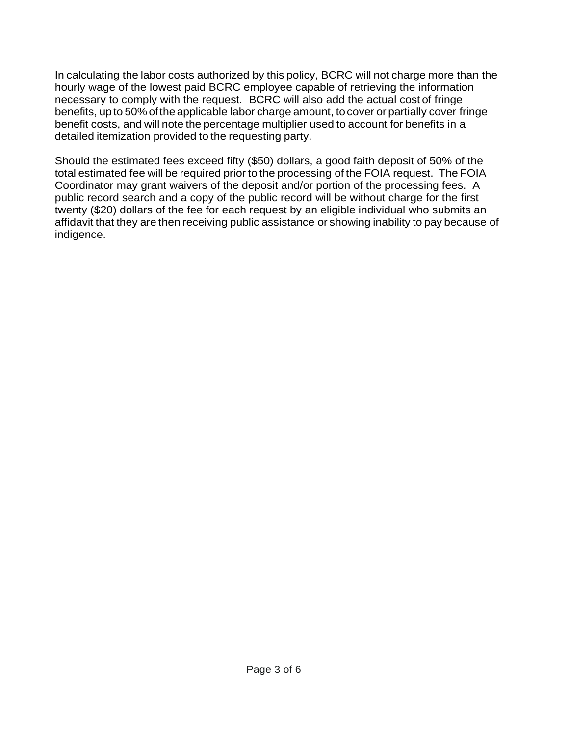In calculating the labor costs authorized by this policy, BCRC will not charge more than the hourly wage of the lowest paid BCRC employee capable of retrieving the information necessary to comply with the request. BCRC will also add the actual cost of fringe benefits, up to 50% ofthe applicable labor charge amount, to cover or partially cover fringe benefit costs, and will note the percentage multiplier used to account for benefits in a detailed itemization provided to the requesting party.

Should the estimated fees exceed fifty (\$50) dollars, a good faith deposit of 50% of the total estimated fee will be required prior to the processing of the FOIA request. The FOIA Coordinator may grant waivers of the deposit and/or portion of the processing fees. A public record search and a copy of the public record will be without charge for the first twenty (\$20) dollars of the fee for each request by an eligible individual who submits an affidavit that they are then receiving public assistance or showing inability to pay because of indigence.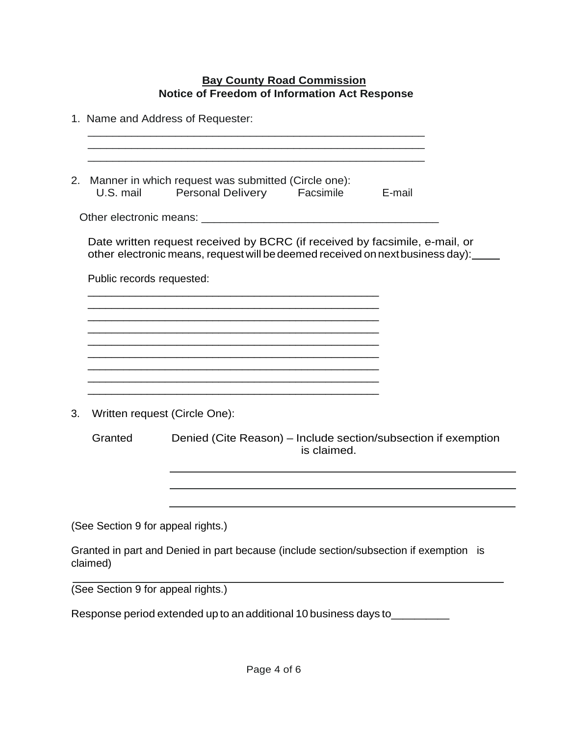## **Bay County Road Commission Notice of Freedom of Information Act Response**

|                                    |                                                                                                                                                               | 1. Name and Address of Requester:                                                      |             |                                                                |
|------------------------------------|---------------------------------------------------------------------------------------------------------------------------------------------------------------|----------------------------------------------------------------------------------------|-------------|----------------------------------------------------------------|
| 2.                                 | Manner in which request was submitted (Circle one):<br><b>Personal Delivery</b><br>U.S. mail<br>Facsimile<br>E-mail                                           |                                                                                        |             |                                                                |
|                                    |                                                                                                                                                               |                                                                                        |             |                                                                |
|                                    | Date written request received by BCRC (if received by facsimile, e-mail, or<br>other electronic means, request will be deemed received on next business day): |                                                                                        |             |                                                                |
|                                    | Public records requested:                                                                                                                                     |                                                                                        |             |                                                                |
|                                    |                                                                                                                                                               |                                                                                        |             |                                                                |
|                                    |                                                                                                                                                               |                                                                                        |             |                                                                |
|                                    |                                                                                                                                                               |                                                                                        |             |                                                                |
|                                    |                                                                                                                                                               |                                                                                        |             |                                                                |
| 3.                                 | Written request (Circle One):                                                                                                                                 |                                                                                        |             |                                                                |
|                                    | Granted                                                                                                                                                       |                                                                                        | is claimed. | Denied (Cite Reason) - Include section/subsection if exemption |
|                                    |                                                                                                                                                               |                                                                                        |             |                                                                |
|                                    |                                                                                                                                                               |                                                                                        |             |                                                                |
| (See Section 9 for appeal rights.) |                                                                                                                                                               |                                                                                        |             |                                                                |
|                                    | claimed)                                                                                                                                                      | Granted in part and Denied in part because (include section/subsection if exemption is |             |                                                                |
| (See Section 9 for appeal rights.) |                                                                                                                                                               |                                                                                        |             |                                                                |

Response period extended up to an additional <sup>10</sup> business days to\_\_\_\_\_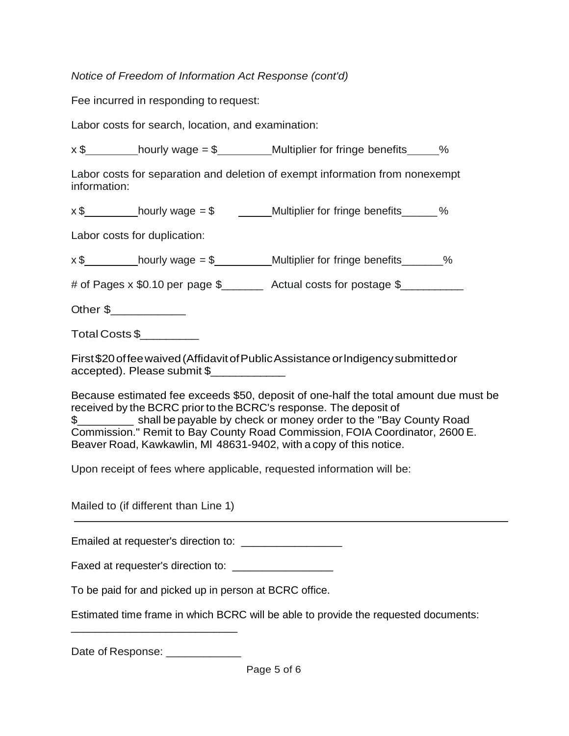## *Notice of Freedom of Information Act Response (cont'd)*

Fee incurred in responding to request:

Labor costs for search, location, and examination:

 $x$  \$ hourly wage = \$ Multiplier for fringe benefits  $\frac{1}{x}$  %

Labor costs for separation and deletion of exempt information from nonexempt information:

 $x $$  hourly wage =  $$$  Multiplier for fringe benefits  $\sim$  %

Labor costs for duplication:

 $x $ \_\_\_\_\_$  hourly wage = \$ $\_\_\_\_\_$  Multiplier for fringe benefits \_\_\_\_\_\_\_%

# of Pages x \$0.10 per page \$\_\_\_\_\_\_\_\_ Actual costs for postage \$\_\_\_\_\_\_\_\_\_\_

Other \$

Total Costs \$\_\_\_\_\_\_\_\_\_

First\$20offeewaived(AffidavitofPublicAssistanceorlndigencysubmittedor accepted). Please submit \$\_\_\_\_\_\_\_\_\_\_\_\_

Because estimated fee exceeds \$50, deposit of one-half the total amount due must be received by the BCRC prior to the BCRC's response. The deposit of \$\_\_\_\_\_\_\_\_\_ shall be payable by check or money order to the "Bay County Road Commission." Remit to Bay County Road Commission, FOIA Coordinator, 2600 E. Beaver Road, Kawkawlin, Ml 48631-9402, with a copy of this notice.

Upon receipt of fees where applicable, requested information will be:

Mailed to (if different than Line 1)

Emailed at requester's direction to: \_\_\_\_\_\_\_\_\_\_\_\_\_\_\_\_\_

Faxed at requester's direction to:

To be paid for and picked up in person at BCRC office.

Estimated time frame in which BCRC will be able to provide the requested documents:

Date of Response:

\_\_\_\_\_\_\_\_\_\_\_\_\_\_\_\_\_\_\_\_\_\_\_\_\_\_\_\_